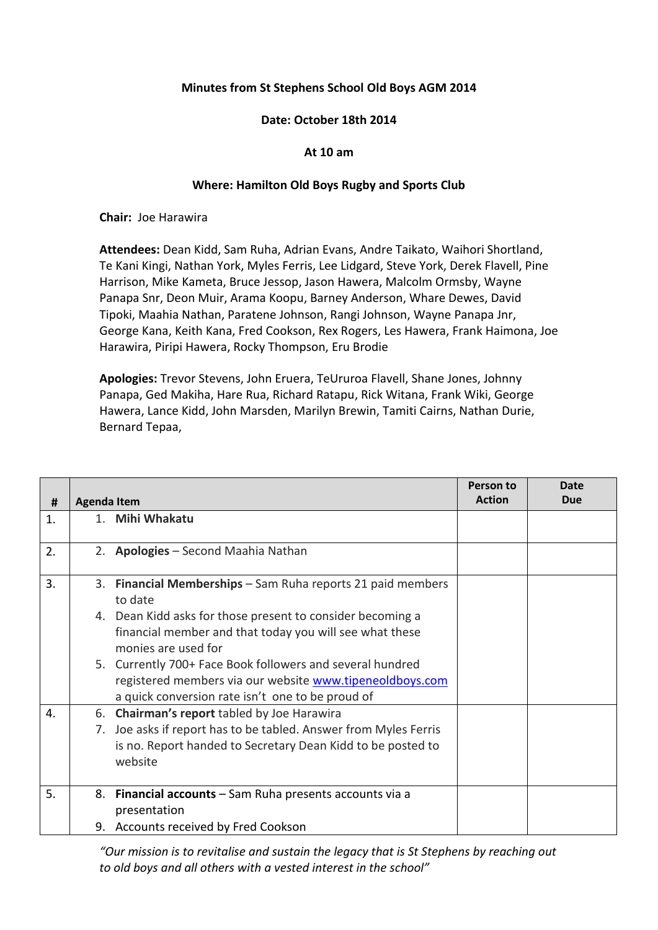## **Minutes from St Stephens School Old Boys AGM 2014**

## **Date: October 18th 2014**

## **At 10 am**

## **Where: Hamilton Old Boys Rugby and Sports Club**

**Chair:** Joe Harawira

**Attendees:** Dean Kidd, Sam Ruha, Adrian Evans, Andre Taikato, Waihori Shortland, Te Kani Kingi, Nathan York, Myles Ferris, Lee Lidgard, Steve York, Derek Flavell, Pine Harrison, Mike Kameta, Bruce Jessop, Jason Hawera, Malcolm Ormsby, Wayne Panapa Snr, Deon Muir, Arama Koopu, Barney Anderson, Whare Dewes, David Tipoki, Maahia Nathan, Paratene Johnson, Rangi Johnson, Wayne Panapa Jnr, George Kana, Keith Kana, Fred Cookson, Rex Rogers, Les Hawera, Frank Haimona, Joe Harawira, Piripi Hawera, Rocky Thompson, Eru Brodie

**Apologies:** Trevor Stevens, John Eruera, TeUruroa Flavell, Shane Jones, Johnny Panapa, Ged Makiha, Hare Rua, Richard Ratapu, Rick Witana, Frank Wiki, George Hawera, Lance Kidd, John Marsden, Marilyn Brewin, Tamiti Cairns, Nathan Durie, Bernard Tepaa,

|    |                    |                                                               | Person to<br><b>Action</b> | Date<br><b>Due</b> |
|----|--------------------|---------------------------------------------------------------|----------------------------|--------------------|
| #  | <b>Agenda Item</b> |                                                               |                            |                    |
| 1. |                    | 1. Mihi Whakatu                                               |                            |                    |
|    |                    |                                                               |                            |                    |
| 2. |                    | 2. Apologies - Second Maahia Nathan                           |                            |                    |
| 3. |                    | 3. Financial Memberships - Sam Ruha reports 21 paid members   |                            |                    |
|    |                    | to date                                                       |                            |                    |
|    |                    | 4. Dean Kidd asks for those present to consider becoming a    |                            |                    |
|    |                    | financial member and that today you will see what these       |                            |                    |
|    |                    | monies are used for                                           |                            |                    |
|    |                    | 5. Currently 700+ Face Book followers and several hundred     |                            |                    |
|    |                    | registered members via our website www.tipeneoldboys.com      |                            |                    |
|    |                    | a quick conversion rate isn't one to be proud of              |                            |                    |
| 4. |                    | 6. Chairman's report tabled by Joe Harawira                   |                            |                    |
|    | 7.                 | Joe asks if report has to be tabled. Answer from Myles Ferris |                            |                    |
|    |                    | is no. Report handed to Secretary Dean Kidd to be posted to   |                            |                    |
|    |                    | website                                                       |                            |                    |
|    |                    |                                                               |                            |                    |
| 5. |                    | 8. Financial accounts - Sam Ruha presents accounts via a      |                            |                    |
|    |                    | presentation                                                  |                            |                    |
|    |                    | 9. Accounts received by Fred Cookson                          |                            |                    |

*"Our mission is to revitalise and sustain the legacy that is St Stephens by reaching out to old boys and all others with a vested interest in the school"*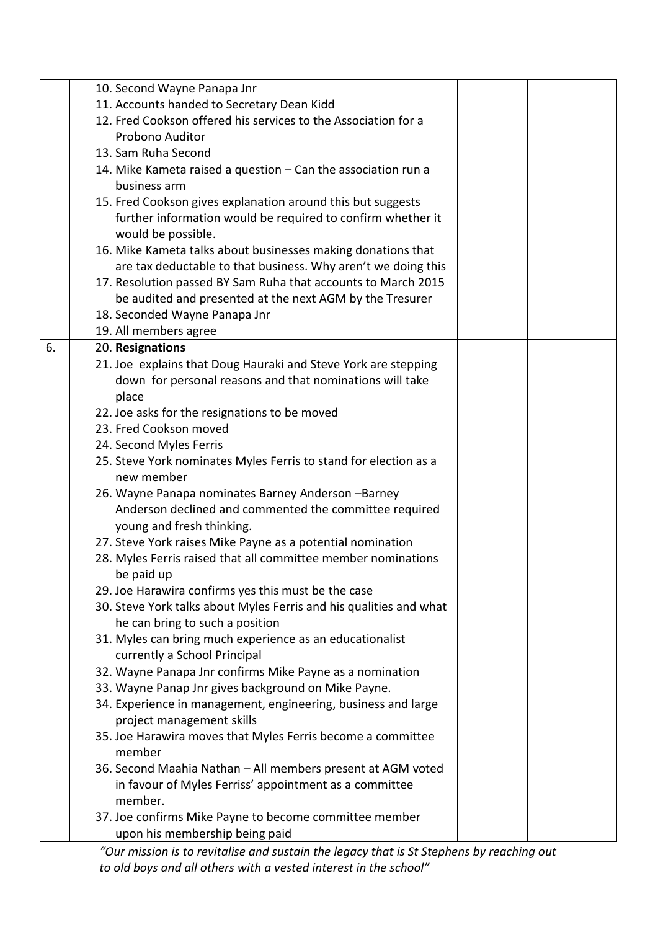|    | 10. Second Wayne Panapa Jnr                                                         |  |
|----|-------------------------------------------------------------------------------------|--|
|    | 11. Accounts handed to Secretary Dean Kidd                                          |  |
|    | 12. Fred Cookson offered his services to the Association for a                      |  |
|    | Probono Auditor                                                                     |  |
|    | 13. Sam Ruha Second                                                                 |  |
|    | 14. Mike Kameta raised a question - Can the association run a                       |  |
|    | business arm                                                                        |  |
|    | 15. Fred Cookson gives explanation around this but suggests                         |  |
|    | further information would be required to confirm whether it                         |  |
|    | would be possible.                                                                  |  |
|    | 16. Mike Kameta talks about businesses making donations that                        |  |
|    | are tax deductable to that business. Why aren't we doing this                       |  |
|    | 17. Resolution passed BY Sam Ruha that accounts to March 2015                       |  |
|    | be audited and presented at the next AGM by the Tresurer                            |  |
|    | 18. Seconded Wayne Panapa Jnr                                                       |  |
|    | 19. All members agree                                                               |  |
| 6. | 20. Resignations                                                                    |  |
|    | 21. Joe explains that Doug Hauraki and Steve York are stepping                      |  |
|    | down for personal reasons and that nominations will take                            |  |
|    | place                                                                               |  |
|    | 22. Joe asks for the resignations to be moved                                       |  |
|    | 23. Fred Cookson moved                                                              |  |
|    | 24. Second Myles Ferris                                                             |  |
|    | 25. Steve York nominates Myles Ferris to stand for election as a                    |  |
|    | new member                                                                          |  |
|    | 26. Wayne Panapa nominates Barney Anderson -Barney                                  |  |
|    | Anderson declined and commented the committee required<br>young and fresh thinking. |  |
|    | 27. Steve York raises Mike Payne as a potential nomination                          |  |
|    | 28. Myles Ferris raised that all committee member nominations                       |  |
|    | be paid up                                                                          |  |
|    | 29. Joe Harawira confirms yes this must be the case                                 |  |
|    | 30. Steve York talks about Myles Ferris and his qualities and what                  |  |
|    | he can bring to such a position                                                     |  |
|    | 31. Myles can bring much experience as an educationalist                            |  |
|    | currently a School Principal                                                        |  |
|    | 32. Wayne Panapa Jnr confirms Mike Payne as a nomination                            |  |
|    | 33. Wayne Panap Jnr gives background on Mike Payne.                                 |  |
|    | 34. Experience in management, engineering, business and large                       |  |
|    | project management skills                                                           |  |
|    | 35. Joe Harawira moves that Myles Ferris become a committee                         |  |
|    | member                                                                              |  |
|    | 36. Second Maahia Nathan - All members present at AGM voted                         |  |
|    | in favour of Myles Ferriss' appointment as a committee                              |  |
|    | member.                                                                             |  |
|    | 37. Joe confirms Mike Payne to become committee member                              |  |
|    | upon his membership being paid                                                      |  |

*"Our mission is to revitalise and sustain the legacy that is St Stephens by reaching out to old boys and all others with a vested interest in the school"*